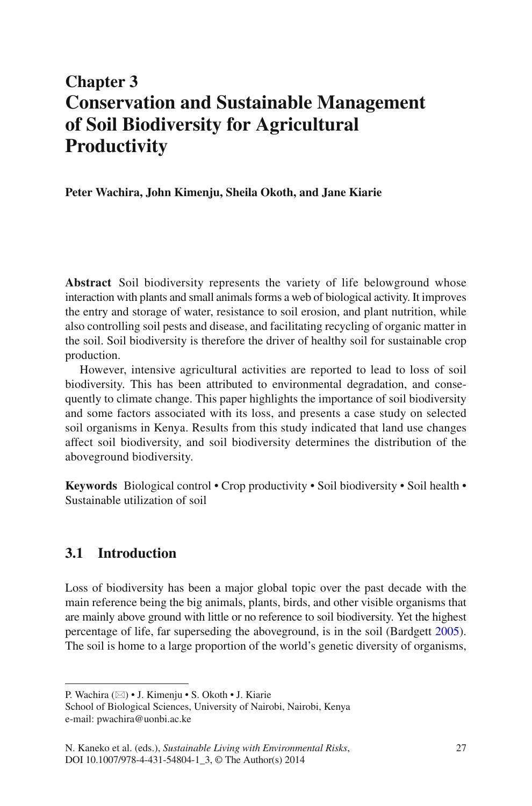# **Chapter 3 Conservation and Sustainable Management of Soil Biodiversity for Agricultural Productivity**

Peter Wachira, John Kimenju, Sheila Okoth, and Jane Kiarie

 **Abstract** Soil biodiversity represents the variety of life belowground whose interaction with plants and small animals forms a web of biological activity. It improves the entry and storage of water, resistance to soil erosion, and plant nutrition, while also controlling soil pests and disease, and facilitating recycling of organic matter in the soil. Soil biodiversity is therefore the driver of healthy soil for sustainable crop production.

 However, intensive agricultural activities are reported to lead to loss of soil biodiversity. This has been attributed to environmental degradation, and consequently to climate change. This paper highlights the importance of soil biodiversity and some factors associated with its loss, and presents a case study on selected soil organisms in Kenya. Results from this study indicated that land use changes affect soil biodiversity, and soil biodiversity determines the distribution of the aboveground biodiversity.

 **Keywords** Biological control • Crop productivity • Soil biodiversity • Soil health • Sustainable utilization of soil

# **3.1 Introduction**

 Loss of biodiversity has been a major global topic over the past decade with the main reference being the big animals, plants, birds, and other visible organisms that are mainly above ground with little or no reference to soil biodiversity. Yet the highest percentage of life, far superseding the aboveground, is in the soil (Bardgett 2005). The soil is home to a large proportion of the world's genetic diversity of organisms,

P. Wachira (⊠) • J. Kimenju • S. Okoth • J. Kiarie

School of Biological Sciences, University of Nairobi, Nairobi, Kenya e-mail: pwachira@uonbi.ac.ke

N. Kaneko et al. (eds.), *Sustainable Living with Environmental Risks*, 27 DOI 10.1007/978-4-431-54804-1\_3, © The Author(s) 2014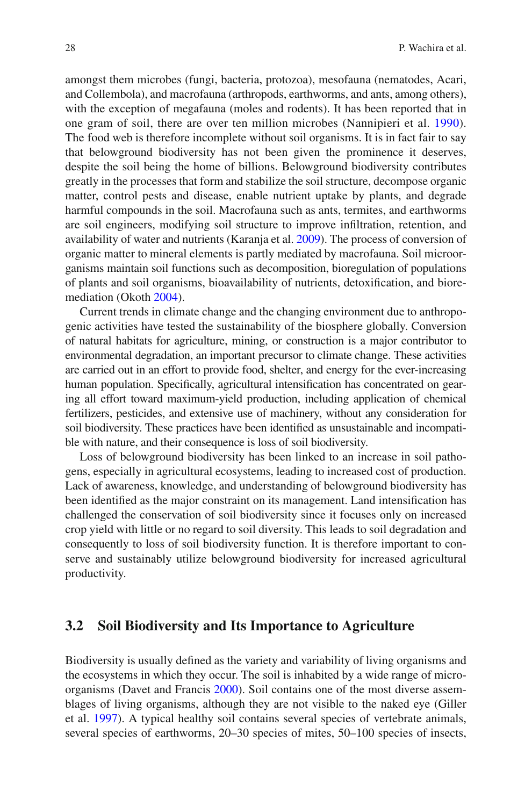amongst them microbes (fungi, bacteria, protozoa), mesofauna (nematodes, Acari, and Collembola), and macrofauna (arthropods, earthworms, and ants, among others), with the exception of megafauna (moles and rodents). It has been reported that in one gram of soil, there are over ten million microbes (Nannipieri et al. [1990 \)](#page-6-0). The food web is therefore incomplete without soil organisms. It is in fact fair to say that belowground biodiversity has not been given the prominence it deserves, despite the soil being the home of billions. Belowground biodiversity contributes greatly in the processes that form and stabilize the soil structure, decompose organic matter, control pests and disease, enable nutrient uptake by plants, and degrade harmful compounds in the soil. Macrofauna such as ants, termites, and earthworms are soil engineers, modifying soil structure to improve infiltration, retention, and availability of water and nutrients (Karanja et al. [2009 \)](#page-6-0). The process of conversion of organic matter to mineral elements is partly mediated by macrofauna. Soil microorganisms maintain soil functions such as decomposition, bioregulation of populations of plants and soil organisms, bioavailability of nutrients, detoxification, and biore-mediation (Okoth [2004](#page-6-0)).

 Current trends in climate change and the changing environment due to anthropogenic activities have tested the sustainability of the biosphere globally. Conversion of natural habitats for agriculture, mining, or construction is a major contributor to environmental degradation, an important precursor to climate change. These activities are carried out in an effort to provide food, shelter, and energy for the ever- increasing human population. Specifically, agricultural intensification has concentrated on gearing all effort toward maximum-yield production, including application of chemical fertilizers, pesticides, and extensive use of machinery, without any consideration for soil biodiversity. These practices have been identified as unsustainable and incompatible with nature, and their consequence is loss of soil biodiversity.

 Loss of belowground biodiversity has been linked to an increase in soil pathogens, especially in agricultural ecosystems, leading to increased cost of production. Lack of awareness, knowledge, and understanding of belowground biodiversity has been identified as the major constraint on its management. Land intensification has challenged the conservation of soil biodiversity since it focuses only on increased crop yield with little or no regard to soil diversity. This leads to soil degradation and consequently to loss of soil biodiversity function. It is therefore important to conserve and sustainably utilize belowground biodiversity for increased agricultural productivity.

#### **3.2 Soil Biodiversity and Its Importance to Agriculture**

Biodiversity is usually defined as the variety and variability of living organisms and the ecosystems in which they occur. The soil is inhabited by a wide range of microorganisms (Davet and Francis 2000). Soil contains one of the most diverse assemblages of living organisms, although they are not visible to the naked eye (Giller et al. [1997](#page-6-0) ). A typical healthy soil contains several species of vertebrate animals, several species of earthworms, 20–30 species of mites, 50–100 species of insects,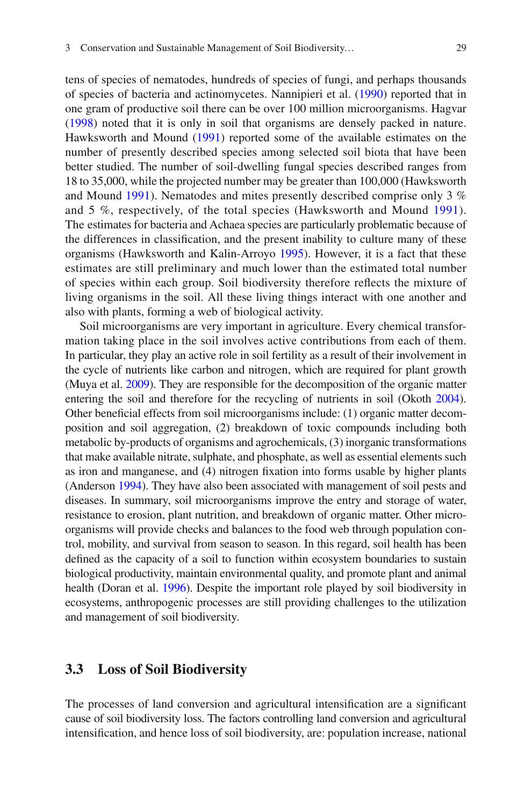tens of species of nematodes, hundreds of species of fungi, and perhaps thousands of species of bacteria and actinomycetes. Nannipieri et al. ( [1990 \)](#page-6-0) reported that in one gram of productive soil there can be over 100 million microorganisms. Hagvar [\( 1998](#page-6-0) ) noted that it is only in soil that organisms are densely packed in nature. Hawksworth and Mound (1991) reported some of the available estimates on the number of presently described species among selected soil biota that have been better studied. The number of soil-dwelling fungal species described ranges from 18 to 35,000, while the projected number may be greater than 100,000 (Hawksworth and Mound [1991](#page-6-0)). Nematodes and mites presently described comprise only 3  $%$ and 5 %, respectively, of the total species (Hawksworth and Mound [1991](#page-6-0)). The estimates for bacteria and Achaea species are particularly problematic because of the differences in classification, and the present inability to culture many of these organisms (Hawksworth and Kalin-Arroyo [1995](#page-6-0) ). However, it is a fact that these estimates are still preliminary and much lower than the estimated total number of species within each group. Soil biodiversity therefore reflects the mixture of living organisms in the soil. All these living things interact with one another and also with plants, forming a web of biological activity.

 Soil microorganisms are very important in agriculture. Every chemical transformation taking place in the soil involves active contributions from each of them. In particular, they play an active role in soil fertility as a result of their involvement in the cycle of nutrients like carbon and nitrogen, which are required for plant growth (Muya et al. 2009). They are responsible for the decomposition of the organic matter entering the soil and therefore for the recycling of nutrients in soil (Okoth 2004). Other beneficial effects from soil microorganisms include: (1) organic matter decomposition and soil aggregation, (2) breakdown of toxic compounds including both metabolic by-products of organisms and agrochemicals, (3) inorganic transformations that make available nitrate, sulphate, and phosphate, as well as essential elements such as iron and manganese, and (4) nitrogen fixation into forms usable by higher plants (Anderson [1994](#page-6-0)). They have also been associated with management of soil pests and diseases. In summary, soil microorganisms improve the entry and storage of water, resistance to erosion, plant nutrition, and breakdown of organic matter. Other microorganisms will provide checks and balances to the food web through population control, mobility, and survival from season to season. In this regard, soil health has been defined as the capacity of a soil to function within ecosystem boundaries to sustain biological productivity, maintain environmental quality, and promote plant and animal health (Doran et al. 1996). Despite the important role played by soil biodiversity in ecosystems, anthropogenic processes are still providing challenges to the utilization and management of soil biodiversity.

#### **3.3 Loss of Soil Biodiversity**

The processes of land conversion and agricultural intensification are a significant cause of soil biodiversity loss. The factors controlling land conversion and agricultural intensification, and hence loss of soil biodiversity, are: population increase, national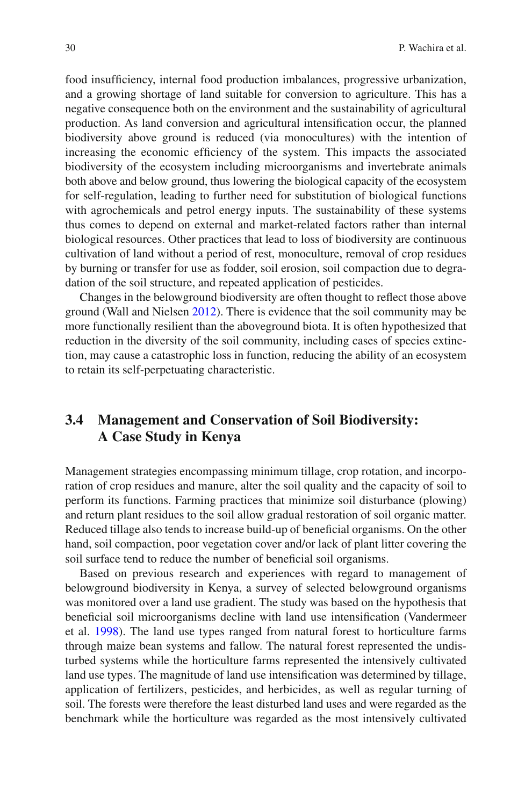food insufficiency, internal food production imbalances, progressive urbanization, and a growing shortage of land suitable for conversion to agriculture. This has a negative consequence both on the environment and the sustainability of agricultural production. As land conversion and agricultural intensification occur, the planned biodiversity above ground is reduced (via monocultures) with the intention of increasing the economic efficiency of the system. This impacts the associated biodiversity of the ecosystem including microorganisms and invertebrate animals both above and below ground, thus lowering the biological capacity of the ecosystem for self-regulation, leading to further need for substitution of biological functions with agrochemicals and petrol energy inputs. The sustainability of these systems thus comes to depend on external and market-related factors rather than internal biological resources. Other practices that lead to loss of biodiversity are continuous cultivation of land without a period of rest, monoculture, removal of crop residues by burning or transfer for use as fodder, soil erosion, soil compaction due to degradation of the soil structure, and repeated application of pesticides.

Changes in the belowground biodiversity are often thought to reflect those above ground (Wall and Nielsen [2012 \)](#page-7-0). There is evidence that the soil community may be more functionally resilient than the aboveground biota. It is often hypothesized that reduction in the diversity of the soil community, including cases of species extinction, may cause a catastrophic loss in function, reducing the ability of an ecosystem to retain its self-perpetuating characteristic.

# **3.4 Management and Conservation of Soil Biodiversity: A Case Study in Kenya**

 Management strategies encompassing minimum tillage, crop rotation, and incorporation of crop residues and manure, alter the soil quality and the capacity of soil to perform its functions. Farming practices that minimize soil disturbance (plowing) and return plant residues to the soil allow gradual restoration of soil organic matter. Reduced tillage also tends to increase build-up of beneficial organisms. On the other hand, soil compaction, poor vegetation cover and/or lack of plant litter covering the soil surface tend to reduce the number of beneficial soil organisms.

 Based on previous research and experiences with regard to management of belowground biodiversity in Kenya, a survey of selected belowground organisms was monitored over a land use gradient. The study was based on the hypothesis that beneficial soil microorganisms decline with land use intensification (Vandermeer et al. [1998](#page-7-0)). The land use types ranged from natural forest to horticulture farms through maize bean systems and fallow. The natural forest represented the undisturbed systems while the horticulture farms represented the intensively cultivated land use types. The magnitude of land use intensification was determined by tillage, application of fertilizers, pesticides, and herbicides, as well as regular turning of soil. The forests were therefore the least disturbed land uses and were regarded as the benchmark while the horticulture was regarded as the most intensively cultivated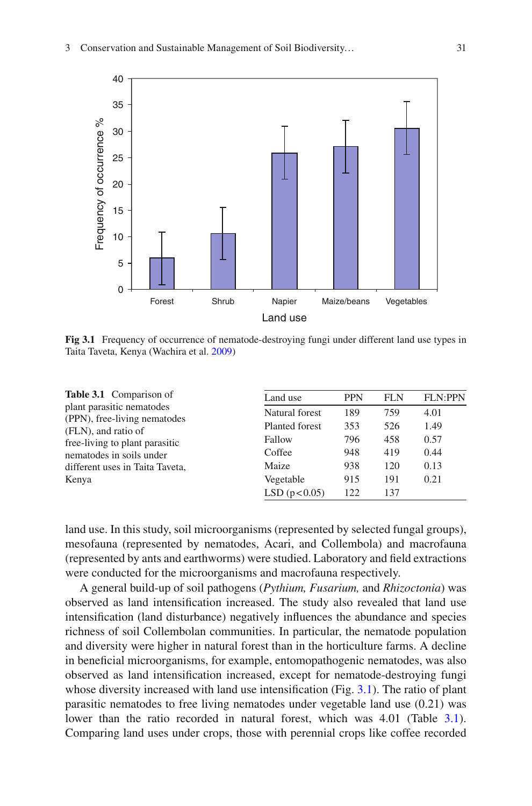

 **Fig 3.1** Frequency of occurrence of nematode-destroying fungi under different land use types in Taita Taveta, Kenya (Wachira et al. 2009)

| <b>Table 3.1</b> Comparison of<br>plant parasitic nematodes<br>(PPN), free-living nematodes<br>(FLN), and ratio of<br>free-living to plant parasitic | Land use                         | <b>PPN</b> | <b>FLN</b> | FLN:PPN      |
|------------------------------------------------------------------------------------------------------------------------------------------------------|----------------------------------|------------|------------|--------------|
|                                                                                                                                                      | Natural forest<br>Planted forest | 189<br>353 | 759<br>526 | 4.01<br>1.49 |
|                                                                                                                                                      | Fallow                           | 796        | 458        | 0.57         |
| nematodes in soils under                                                                                                                             | Coffee                           | 948        | 419        | 0.44         |
| different uses in Taita Taveta,                                                                                                                      | Maize                            | 938        | 120        | 0.13         |
| Kenya                                                                                                                                                | Vegetable                        | 915        | 191        | 0.21         |
|                                                                                                                                                      | LSD(p<0.05)                      | 122        | 137        |              |

land use. In this study, soil microorganisms (represented by selected fungal groups), mesofauna (represented by nematodes, Acari, and Collembola) and macrofauna (represented by ants and earthworms) were studied. Laboratory and field extractions were conducted for the microorganisms and macrofauna respectively.

 A general build-up of soil pathogens ( *Pythium, Fusarium,* and *Rhizoctonia*) was observed as land intensification increased. The study also revealed that land use intensification (land disturbance) negatively influences the abundance and species richness of soil Collembolan communities. In particular, the nematode population and diversity were higher in natural forest than in the horticulture farms. A decline in beneficial microorganisms, for example, entomopathogenic nematodes, was also observed as land intensification increased, except for nematode-destroying fungi whose diversity increased with land use intensification (Fig.  $3.1$ ). The ratio of plant parasitic nematodes to free living nematodes under vegetable land use (0.21) was lower than the ratio recorded in natural forest, which was 4.01 (Table 3.1). Comparing land uses under crops, those with perennial crops like coffee recorded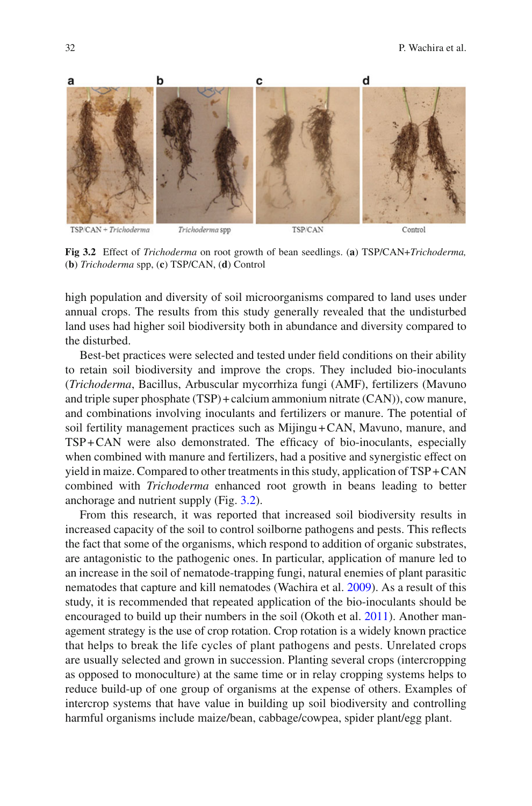

 **Fig 3.2** Effect of *Trichoderma* on root growth of bean seedlings. ( **a** ) TSP/CAN+ *Trichoderma,* ( **b** ) *Trichoderma* spp, ( **c** ) TSP/CAN, ( **d** ) Control

high population and diversity of soil microorganisms compared to land uses under annual crops. The results from this study generally revealed that the undisturbed land uses had higher soil biodiversity both in abundance and diversity compared to the disturbed.

Best-bet practices were selected and tested under field conditions on their ability to retain soil biodiversity and improve the crops. They included bio-inoculants ( *Trichoderma* , Bacillus, Arbuscular mycorrhiza fungi (AMF), fertilizers (Mavuno and triple super phosphate (TSP) + calcium ammonium nitrate (CAN)), cow manure, and combinations involving inoculants and fertilizers or manure. The potential of soil fertility management practices such as Mijingu + CAN, Mavuno, manure, and  $TSP + CAN$  were also demonstrated. The efficacy of bio-inoculants, especially when combined with manure and fertilizers, had a positive and synergistic effect on yield in maize. Compared to other treatments in this study, application of TSP + CAN combined with *Trichoderma* enhanced root growth in beans leading to better anchorage and nutrient supply (Fig. 3.2).

 From this research, it was reported that increased soil biodiversity results in increased capacity of the soil to control soilborne pathogens and pests. This reflects the fact that some of the organisms, which respond to addition of organic substrates, are antagonistic to the pathogenic ones. In particular, application of manure led to an increase in the soil of nematode-trapping fungi, natural enemies of plant parasitic nematodes that capture and kill nematodes (Wachira et al. [2009 \)](#page-7-0). As a result of this study, it is recommended that repeated application of the bio-inoculants should be encouraged to build up their numbers in the soil (Okoth et al. [2011](#page-6-0)). Another management strategy is the use of crop rotation. Crop rotation is a widely known practice that helps to break the life cycles of plant pathogens and pests. Unrelated crops are usually selected and grown in succession. Planting several crops (intercropping as opposed to monoculture) at the same time or in relay cropping systems helps to reduce build-up of one group of organisms at the expense of others. Examples of intercrop systems that have value in building up soil biodiversity and controlling harmful organisms include maize/bean, cabbage/cowpea, spider plant/egg plant.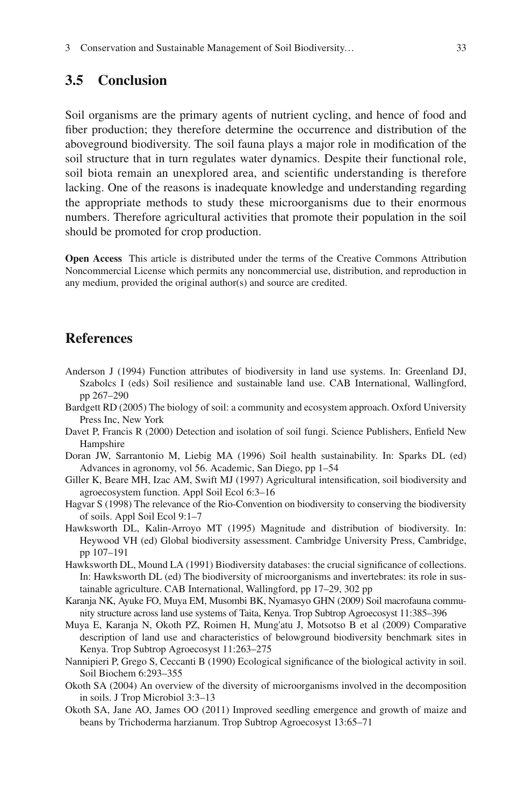## <span id="page-6-0"></span>**3.5 Conclusion**

 Soil organisms are the primary agents of nutrient cycling, and hence of food and fiber production; they therefore determine the occurrence and distribution of the aboveground biodiversity. The soil fauna plays a major role in modification of the soil structure that in turn regulates water dynamics. Despite their functional role, soil biota remain an unexplored area, and scientific understanding is therefore lacking. One of the reasons is inadequate knowledge and understanding regarding the appropriate methods to study these microorganisms due to their enormous numbers. Therefore agricultural activities that promote their population in the soil should be promoted for crop production.

**Open Access** This article is distributed under the terms of the Creative Commons Attribution Noncommercial License which permits any noncommercial use, distribution, and reproduction in any medium, provided the original author(s) and source are credited.

### **References**

- Anderson J (1994) Function attributes of biodiversity in land use systems. In: Greenland DJ, Szabolcs I (eds) Soil resilience and sustainable land use. CAB International, Wallingford, pp 267–290
- Bardgett RD (2005) The biology of soil: a community and ecosystem approach. Oxford University Press Inc, New York
- Davet P, Francis R (2000) Detection and isolation of soil fungi. Science Publishers, Enfield New Hampshire
- Doran JW, Sarrantonio M, Liebig MA (1996) Soil health sustainability. In: Sparks DL (ed) Advances in agronomy, vol 56. Academic, San Diego, pp 1–54
- Giller K, Beare MH, Izac AM, Swift MJ (1997) Agricultural intensification, soil biodiversity and agroecosystem function. Appl Soil Ecol 6:3–16
- Hagvar S (1998) The relevance of the Rio-Convention on biodiversity to conserving the biodiversity of soils. Appl Soil Ecol 9:1–7
- Hawksworth DL, Kalin-Arroyo MT (1995) Magnitude and distribution of biodiversity. In: Heywood VH (ed) Global biodiversity assessment. Cambridge University Press, Cambridge, pp 107–191
- Hawksworth DL, Mound LA (1991) Biodiversity databases: the crucial significance of collections. In: Hawksworth DL (ed) The biodiversity of microorganisms and invertebrates: its role in sustainable agriculture. CAB International, Wallingford, pp 17–29, 302 pp
- Karanja NK, Ayuke FO, Muya EM, Musombi BK, Nyamasyo GHN (2009) Soil macrofauna community structure across land use systems of Taita, Kenya. Trop Subtrop Agroecosyst 11:385–396
- Muya E, Karanja N, Okoth PZ, Roimen H, Mung'atu J, Motsotso B et al (2009) Comparative description of land use and characteristics of belowground biodiversity benchmark sites in Kenya. Trop Subtrop Agroecosyst 11:263–275
- Nannipieri P, Grego S, Ceccanti B (1990) Ecological significance of the biological activity in soil. Soil Biochem 6:293–355
- Okoth SA (2004) An overview of the diversity of microorganisms involved in the decomposition in soils. J Trop Microbiol 3:3–13
- Okoth SA, Jane AO, James OO (2011) Improved seedling emergence and growth of maize and beans by Trichoderma harzianum. Trop Subtrop Agroecosyst 13:65–71